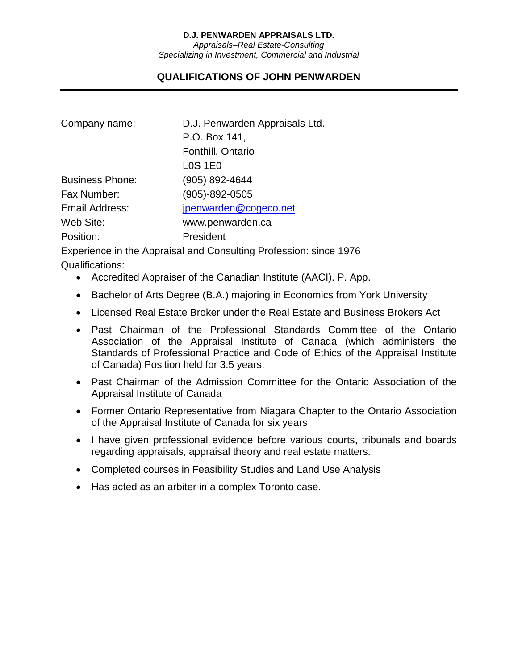#### **D.J. PENWARDEN APPRAISALS LTD.**

*Appraisals–Real Estate-Consulting Specializing in Investment, Commercial and Industrial*

## **QUALIFICATIONS OF JOHN PENWARDEN**

| Company name:          | D.J. Penwarden Appraisals Ltd. |
|------------------------|--------------------------------|
|                        | P.O. Box 141,                  |
|                        | Fonthill, Ontario              |
|                        | <b>LOS 1E0</b>                 |
| <b>Business Phone:</b> | (905) 892-4644                 |
| Fax Number:            | $(905) - 892 - 0505$           |
| Email Address:         | jpenwarden@cogeco.net          |
| Web Site:              | www.penwarden.ca               |
| Position:              | President                      |

Experience in the Appraisal and Consulting Profession: since 1976 Qualifications:

- Accredited Appraiser of the Canadian Institute (AACI). P. App.
- Bachelor of Arts Degree (B.A.) majoring in Economics from York University
- Licensed Real Estate Broker under the Real Estate and Business Brokers Act
- Past Chairman of the Professional Standards Committee of the Ontario Association of the Appraisal Institute of Canada (which administers the Standards of Professional Practice and Code of Ethics of the Appraisal Institute of Canada) Position held for 3.5 years.
- Past Chairman of the Admission Committee for the Ontario Association of the Appraisal Institute of Canada
- Former Ontario Representative from Niagara Chapter to the Ontario Association of the Appraisal Institute of Canada for six years
- I have given professional evidence before various courts, tribunals and boards regarding appraisals, appraisal theory and real estate matters.
- Completed courses in Feasibility Studies and Land Use Analysis
- Has acted as an arbiter in a complex Toronto case.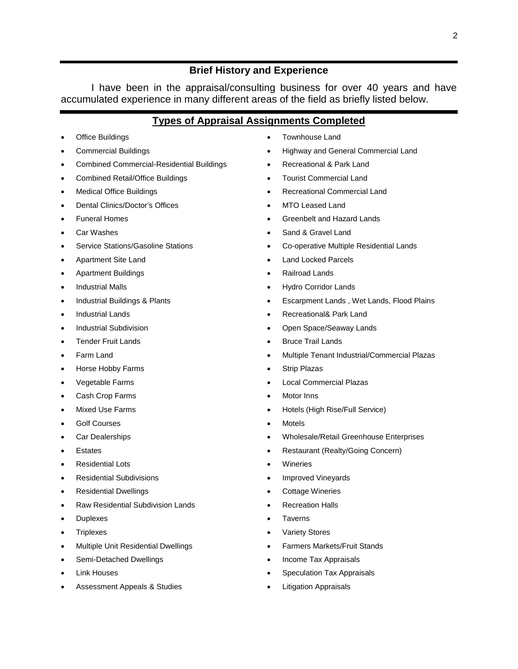### **Brief History and Experience**

I have been in the appraisal/consulting business for over 40 years and have accumulated experience in many different areas of the field as briefly listed below.

### **Types of Appraisal Assignments Completed**

- 
- 
- Combined Commercial-Residential Buildings Recreational & Park Land
- Combined Retail/Office Buildings Tourist Commercial Land
- 
- **Dental Clinics/Doctor's Offices MTO Leased Land**
- 
- 
- 
- 
- 
- 
- 
- 
- 
- 
- 
- Horse Hobby Farms Strip Plazas
- 
- **Cash Crop Farms Motor Inns**
- 
- Golf Courses  **Motels**
- 
- 
- Residential Lots Wineries
- 
- 
- Raw Residential Subdivision Lands **•** Recreation Halls
- 
- 
- 
- 
- 
- Assessment Appeals & Studies Litigation Appraisals
- Office Buildings  **Townhouse Land**
- Commercial Buildings Highway and General Commercial Land
	-
	-
- Medical Office Buildings Recreational Commercial Land
	-
- Funeral Homes Greenbelt and Hazard Lands
- Car Washes Sand & Gravel Land
- Service Stations/Gasoline Stations Co-operative Multiple Residential Lands
- Apartment Site Land **Figure 1** Apartment Site Land
- Apartment Buildings Railroad Lands
- Industrial Malls Hydro Corridor Lands
- Industrial Buildings & Plants **•** Escarpment Lands, Wet Lands, Flood Plains
- Industrial Lands Recreational& Park Land
- Industrial Subdivision Open Space/Seaway Lands
- Tender Fruit Lands Bruce Trail Lands
- Farm Land Multiple Tenant Industrial/Commercial Plazas
	-
- Vegetable Farms Local Commercial Plazas
	-
- Mixed Use Farms Hotels (High Rise/Full Service)
	-
- Car Dealerships Wholesale/Retail Greenhouse Enterprises
- Estates Restaurant (Realty/Going Concern)
	-
- Residential Subdivisions Improved Vineyards
- **Residential Dwellings Cottage Wineries** 
	-
- **Duplexes Taverns**
- Triplexes Variety Stores
- Multiple Unit Residential Dwellings Farmers Markets/Fruit Stands
- Semi-Detached Dwellings Income Tax Appraisals
- Link Houses Speculation Tax Appraisals
	-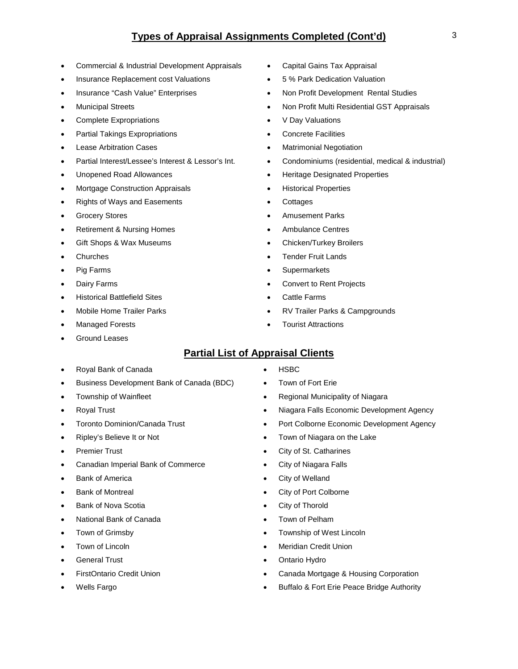## **Types of Appraisal Assignments Completed (Cont'd)** 3

- Commercial & Industrial Development Appraisals Capital Gains Tax Appraisal
- Insurance Replacement cost Valuations 5 % Park Dedication Valuation
- 
- 
- Complete Expropriations V Day Valuations
- Partial Takings Expropriations Concrete Facilities
- 
- 
- 
- Mortgage Construction Appraisals Historical Properties
- Rights of Ways and Easements Cottages
- 
- **Retirement & Nursing Homes •** Ambulance Centres
- Gift Shops & Wax Museums **•** Chicken/Turkey Broilers
- 
- 
- 
- Historical Battlefield Sites Cattle Farms
- 
- Managed Forests
- Ground Leases

### **Partial List of Appraisal Clients**

- **Royal Bank of Canada HSBC**
- Business Development Bank of Canada (BDC) Town of Fort Erie
- 
- 
- 
- 
- 
- Canadian Imperial Bank of Commerce City of Niagara Falls
- 
- 
- **Bank of Nova Scotia City of Thorold**
- National Bank of Canada **•** Town of Pelham
- 
- 
- 
- 
- 
- 
- 
- Township of Wainfleet **• Regional Municipality of Niagara**
- Royal Trust Niagara Falls Economic Development Agency
- Toronto Dominion/Canada Trust Port Colborne Economic Development Agency
- Ripley's Believe It or Not Town of Niagara on the Lake
- **Premier Trust City of St. Catharines** 
	-
- **Bank of America Example 2018 City of Welland**
- **Bank of Montreal City of Port Colborne** 
	-
	-
- Town of Grimsby Township of West Lincoln
- Town of Lincoln Meridian Credit Union
- General Trust Ontario Hydro
- FirstOntario Credit Union Canada Mortgage & Housing Corporation
- Wells Fargo Buffalo & Fort Erie Peace Bridge Authority
- 
- 
- Insurance "Cash Value" Enterprises Non Profit Development Rental Studies
- Municipal Streets Non Profit Multi Residential GST Appraisals
	-
	-
- Lease Arbitration Cases  **Matrimonial Negotiation**
- Partial Interest/Lessee's Interest & Lessor's Int. Condominiums (residential, medical & industrial)
- Unopened Road Allowances  **Heritage Designated Properties** 
	-
	-
- Grocery Stores  **Amusement Parks** 
	-
	-
- Churches Tender Fruit Lands
- Pig Farms  **Supermarkets**
- **Dairy Farms Convert to Rent Projects** 
	-
- Mobile Home Trailer Parks RV Trailer Parks & Campgrounds
	- Tourist Attractions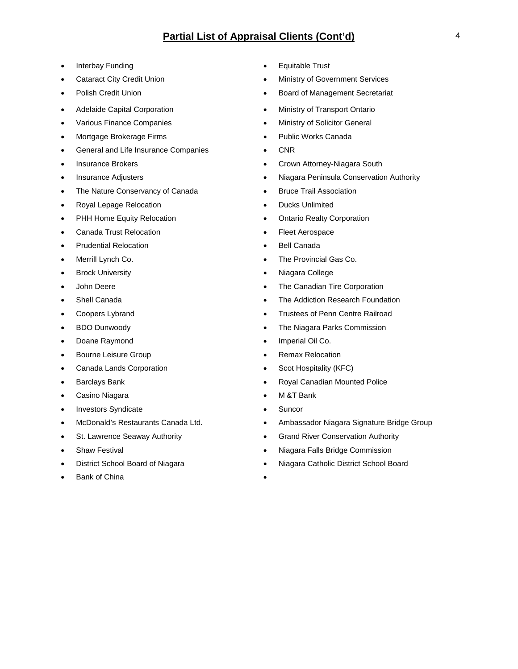- 
- 
- 
- 
- 
- 
- General and Life Insurance Companies CNR
- 
- 
- The Nature Conservancy of Canada **•** Bruce Trail Association
- Royal Lepage Relocation Ducks Unlimited
- 
- Canada Trust Relocation Fleet Aerospace
- **Prudential Relocation Bell Canada**
- 
- 
- 
- 
- 
- 
- 
- 
- 
- 
- 
- Investors Syndicate **•** Suncor
- McDonald's Restaurants Canada Ltd.
- St. Lawrence Seaway Authority
- Shaw Festival
- District School Board of Niagara
- Bank of China
- Interbay Funding **Funding Example 2018** Equitable Trust
- Cataract City Credit Union  **Ministry of Government Services**
- Polish Credit Union  **Board of Management Secretariat**
- Adelaide Capital Corporation Ministry of Transport Ontario
- Various Finance Companies Ministry of Solicitor General
- Mortgage Brokerage Firms Public Works Canada
	-
- Insurance Brokers Crown Attorney-Niagara South
- Insurance Adjusters Niagara Peninsula Conservation Authority
	-
	-
- **PHH Home Equity Relocation •** Ontario Realty Corporation
	-
	-
- Merrill Lynch Co. The Provincial Gas Co.
- **Brock University blue College •** Niagara College
- **John Deere The Canadian Tire Corporation**
- Shell Canada The Addiction Research Foundation
- Coopers Lybrand Trustees of Penn Centre Railroad
- BDO Dunwoody The Niagara Parks Commission
- Doane Raymond Imperial Oil Co.
- **Bourne Leisure Group Remax Relocation**
- Canada Lands Corporation Scot Hospitality (KFC)
- Barclays Bank Royal Canadian Mounted Police
- Casino Niagara  **M &T Bank** 
	-
	- Ambassador Niagara Signature Bridge Group
	- Grand River Conservation Authority
	- Niagara Falls Bridge Commission
	- Niagara Catholic District School Board

•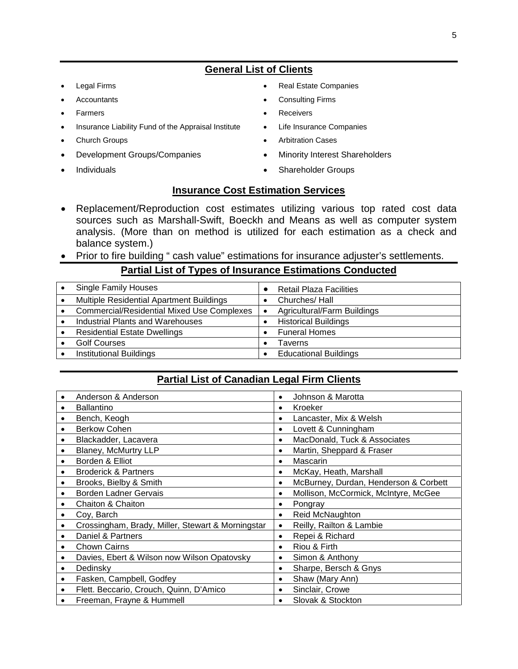## **General List of Clients**

- 
- 
- 
- Insurance Liability Fund of the Appraisal Institute Life Insurance Companies
- 
- 
- 
- Legal Firms **Calculation Companies •** Real Estate Companies
- Accountants Consulting Firms
- Farmers Receivers
	-
- Church Groups Arbitration Cases
- Development Groups/Companies Minority Interest Shareholders
- Individuals **Contract Contract Contract Contract Contract Contract Contract Contract Contract Contract Contract Contract Contract Contract Contract Contract Contract Contract Contract Contract Contract Contract Contract Co**

## **Insurance Cost Estimation Services**

- Replacement/Reproduction cost estimates utilizing various top rated cost data sources such as Marshall-Swift, Boeckh and Means as well as computer system analysis. (More than on method is utilized for each estimation as a check and balance system.)
- Prior to fire building " cash value" estimations for insurance adjuster's settlements.

### **Partial List of Types of Insurance Estimations Conducted**

| <b>Single Family Houses</b>                       |   | <b>Retail Plaza Facilities</b> |
|---------------------------------------------------|---|--------------------------------|
| Multiple Residential Apartment Buildings          |   | Churches/Hall                  |
| <b>Commercial/Residential Mixed Use Complexes</b> | ٠ | Agricultural/Farm Buildings    |
| Industrial Plants and Warehouses                  |   | <b>Historical Buildings</b>    |
| <b>Residential Estate Dwellings</b>               |   | <b>Funeral Homes</b>           |
| <b>Golf Courses</b>                               | ٠ | Taverns                        |
| <b>Institutional Buildings</b>                    |   | <b>Educational Buildings</b>   |

# **Partial List of Canadian Legal Firm Clients**

|           | Anderson & Anderson                               | $\bullet$ | Johnson & Marotta                     |
|-----------|---------------------------------------------------|-----------|---------------------------------------|
|           | <b>Ballantino</b>                                 | $\bullet$ | Kroeker                               |
|           | Bench, Keogh                                      | $\bullet$ | Lancaster, Mix & Welsh                |
|           | <b>Berkow Cohen</b>                               | $\bullet$ | Lovett & Cunningham                   |
|           | Blackadder, Lacavera                              | $\bullet$ | MacDonald, Tuck & Associates          |
|           | Blaney, McMurtry LLP                              | $\bullet$ | Martin, Sheppard & Fraser             |
|           | Borden & Elliot                                   | $\bullet$ | Mascarin                              |
| ٠         | <b>Broderick &amp; Partners</b>                   | $\bullet$ | McKay, Heath, Marshall                |
| ٠         | Brooks, Bielby & Smith                            | $\bullet$ | McBurney, Durdan, Henderson & Corbett |
| $\bullet$ | <b>Borden Ladner Gervais</b>                      | $\bullet$ | Mollison, McCormick, McIntyre, McGee  |
|           | Chaiton & Chaiton                                 | $\bullet$ | Pongray                               |
|           | Coy, Barch                                        | $\bullet$ | Reid McNaughton                       |
|           | Crossingham, Brady, Miller, Stewart & Morningstar | $\bullet$ | Reilly, Railton & Lambie              |
|           | Daniel & Partners                                 | $\bullet$ | Repei & Richard                       |
|           | <b>Chown Cairns</b>                               | $\bullet$ | Riou & Firth                          |
| ٠         | Davies, Ebert & Wilson now Wilson Opatovsky       | $\bullet$ | Simon & Anthony                       |
| $\bullet$ | Dedinsky                                          | $\bullet$ | Sharpe, Bersch & Gnys                 |
| $\bullet$ | Fasken, Campbell, Godfey                          | $\bullet$ | Shaw (Mary Ann)                       |
| ٠         | Flett. Beccario, Crouch, Quinn, D'Amico           | $\bullet$ | Sinclair, Crowe                       |
|           | Freeman, Frayne & Hummell                         |           | Slovak & Stockton                     |